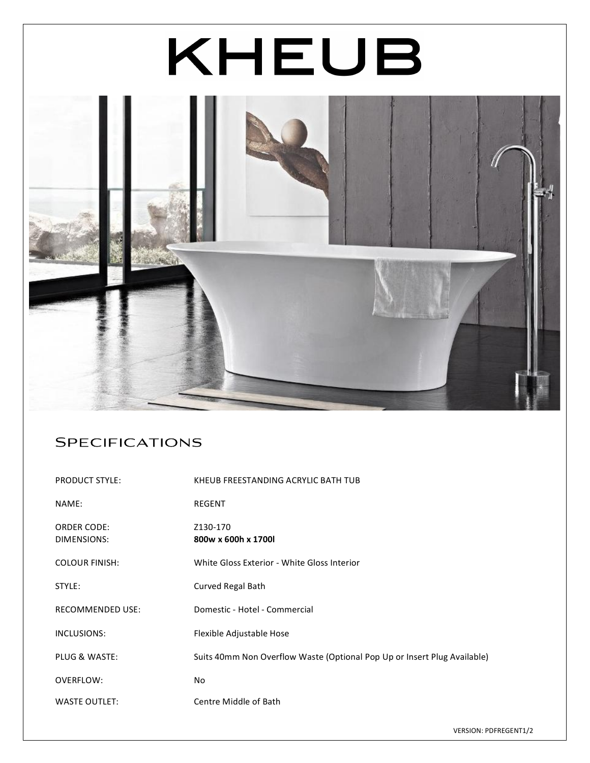# KHEUB  $-46.41$

# Specifications

| <b>PRODUCT STYLE:</b>             | KHEUB FREESTANDING ACRYLIC BATH TUB                                      |
|-----------------------------------|--------------------------------------------------------------------------|
| NAME:                             | REGENT                                                                   |
| <b>ORDER CODE:</b><br>DIMENSIONS: | Z130-170<br>800w x 600h x 1700l                                          |
| <b>COLOUR FINISH:</b>             | White Gloss Exterior - White Gloss Interior                              |
| STYLE:                            | Curved Regal Bath                                                        |
| <b>RECOMMENDED USE:</b>           | Domestic - Hotel - Commercial                                            |
| INCLUSIONS:                       | Flexible Adjustable Hose                                                 |
| <b>PLUG &amp; WASTE:</b>          | Suits 40mm Non Overflow Waste (Optional Pop Up or Insert Plug Available) |
| OVERFLOW:                         | No.                                                                      |
| <b>WASTE OUTLET:</b>              | Centre Middle of Bath                                                    |